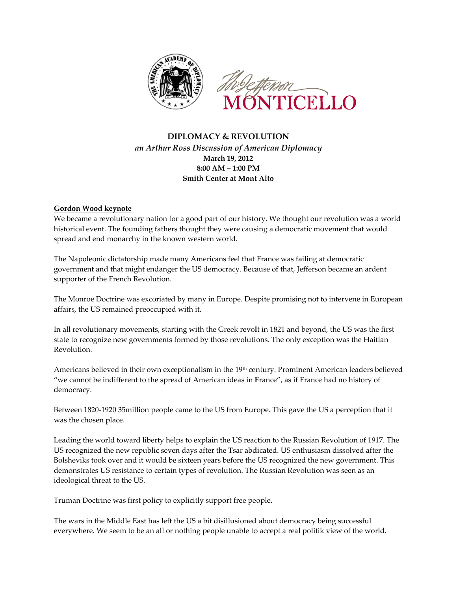

# **DIPLOMACY & REVOLUTION** an Arthur Ross Discussion of American Diplomacy March 19, 2012  $8:00 AM - 1:00 PM$ **Smith Center at Mont Alto**

## **Gordon Wood keynote**

We became a revolutionary nation for a good part of our history. We thought our revolution was a world historical event. The founding fathers thought they were causing a democratic movement that would spread and end monarchy in the known western world.

The Napoleonic dictatorship made many Americans feel that France was failing at democratic government and that might endanger the US democracy. Because of that, Jefferson became an ardent supporter of the French Revolution.

The Monroe Doctrine was excoriated by many in Europe. Despite promising not to intervene in European affairs, the US remained preoccupied with it.

In all revolutionary movements, starting with the Greek revolt in 1821 and beyond, the US was the first state to recognize new governments formed by those revolutions. The only exception was the Haitian Revolution.

Americans believed in their own exceptionalism in the 19th century. Prominent American leaders believed "we cannot be indifferent to the spread of American ideas in France", as if France had no history of democracy.

Between 1820-1920 35 million people came to the US from Europe. This gave the US a perception that it was the chosen place.

Leading the world toward liberty helps to explain the US reaction to the Russian Revolution of 1917. The US recognized the new republic seven days after the Tsar abdicated. US enthusiasm dissolved after the Bolsheviks took over and it would be sixteen years before the US recognized the new government. This demonstrates US resistance to certain types of revolution. The Russian Revolution was seen as an ideological threat to the US.

Truman Doctrine was first policy to explicitly support free people.

The wars in the Middle East has left the US a bit disillusioned about democracy being successful everywhere. We seem to be an all or nothing people unable to accept a real politik view of the world.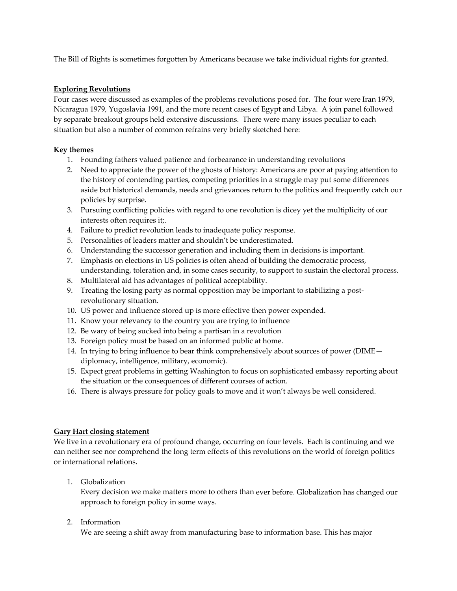The Bill of Rights is sometimes forgotten by Americans because we take individual rights for granted.

#### **Exploring Revolutions**

Four cases were discussed as examples of the problems revolutions posed for. The four were Iran 1979, Nicaragua 1979, Yugoslavia 1991, and the more recent cases of Egypt and Libya. A join panel followed by separate breakout groups held extensive discussions. There were many issues peculiar to each situation but also a number of common refrains very briefly sketched here:

## **Key themes**

- 1. Founding fathers valued patience and forbearance in understanding revolutions
- 2. Need to appreciate the power of the ghosts of history: Americans are poor at paying attention to the history of contending parties, competing priorities in a struggle may put some differences aside but historical demands, needs and grievances return to the politics and frequently catch our policies by surprise.
- 3. Pursuing conflicting policies with regard to one revolution is dicey yet the multiplicity of our interests often requires it;.
- 4. Failure to predict revolution leads to inadequate policy response.
- 5. Personalities of leaders matter and shouldn't be underestimated.
- 6. Understanding the successor generation and including them in decisions is important.
- 7. Emphasis on elections in US policies is often ahead of building the democratic process, understanding, toleration and, in some cases security, to support to sustain the electoral process.
- 8. Multilateral aid has advantages of political acceptability.
- 9. Treating the losing party as normal opposition may be important to stabilizing a postrevolutionary situation.
- 10. US power and influence stored up is more effective then power expended.
- 11. Know your relevancy to the country you are trying to influence
- 12. Be wary of being sucked into being a partisan in a revolution
- 13. Foreign policy must be based on an informed public at home.
- 14. In trying to bring influence to bear think comprehensively about sources of power (DIME diplomacy, intelligence, military, economic).
- 15. Expect great problems in getting Washington to focus on sophisticated embassy reporting about the situation or the consequences of different courses of action.
- 16. There is always pressure for policy goals to move and it won't always be well considered.

#### **Gary Hart closing statement**

We live in a revolutionary era of profound change, occurring on four levels. Each is continuing and we can neither see nor comprehend the long term effects of this revolutions on the world of foreign politics or international relations.

1. Globalization

Every decision we make matters more to others than ever before. Globalization has changed our approach to foreign policy in some ways.

2. Information

We are seeing a shift away from manufacturing base to information base. This has major